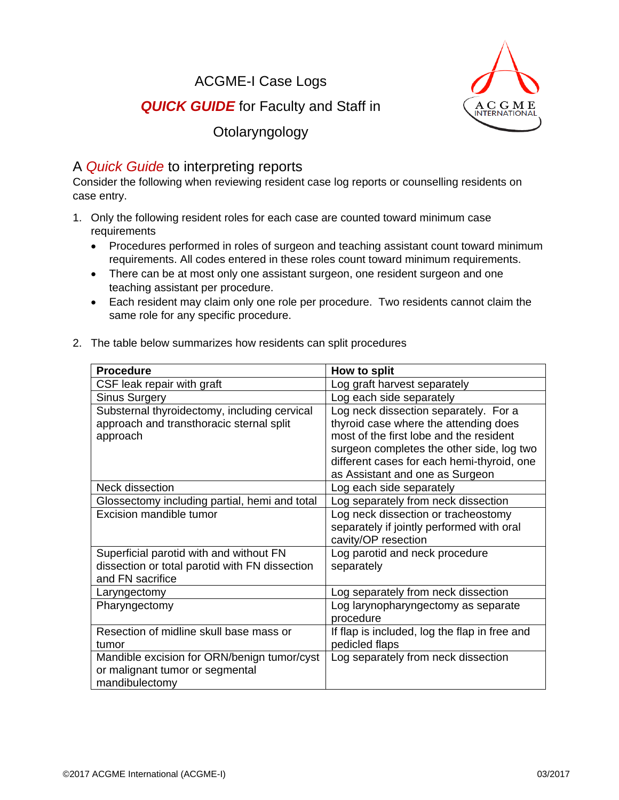ACGME-I Case Logs



## **QUICK GUIDE** for Faculty and Staff in

Otolaryngology

## A *Quick Guide* to interpreting reports

Consider the following when reviewing resident case log reports or counselling residents on case entry.

- 1. Only the following resident roles for each case are counted toward minimum case requirements
	- Procedures performed in roles of surgeon and teaching assistant count toward minimum requirements. All codes entered in these roles count toward minimum requirements.
	- There can be at most only one assistant surgeon, one resident surgeon and one teaching assistant per procedure.
	- Each resident may claim only one role per procedure. Two residents cannot claim the same role for any specific procedure.
- 2. The table below summarizes how residents can split procedures

| <b>Procedure</b>                                                                                              | How to split                                                                                                                                                                                                                                            |
|---------------------------------------------------------------------------------------------------------------|---------------------------------------------------------------------------------------------------------------------------------------------------------------------------------------------------------------------------------------------------------|
| CSF leak repair with graft                                                                                    | Log graft harvest separately                                                                                                                                                                                                                            |
| <b>Sinus Surgery</b>                                                                                          | Log each side separately                                                                                                                                                                                                                                |
| Substernal thyroidectomy, including cervical<br>approach and transthoracic sternal split<br>approach          | Log neck dissection separately. For a<br>thyroid case where the attending does<br>most of the first lobe and the resident<br>surgeon completes the other side, log two<br>different cases for each hemi-thyroid, one<br>as Assistant and one as Surgeon |
| Neck dissection                                                                                               | Log each side separately                                                                                                                                                                                                                                |
| Glossectomy including partial, hemi and total                                                                 | Log separately from neck dissection                                                                                                                                                                                                                     |
| <b>Excision mandible tumor</b>                                                                                | Log neck dissection or tracheostomy<br>separately if jointly performed with oral<br>cavity/OP resection                                                                                                                                                 |
| Superficial parotid with and without FN<br>dissection or total parotid with FN dissection<br>and FN sacrifice | Log parotid and neck procedure<br>separately                                                                                                                                                                                                            |
| Laryngectomy                                                                                                  | Log separately from neck dissection                                                                                                                                                                                                                     |
| Pharyngectomy                                                                                                 | Log larynopharyngectomy as separate<br>procedure                                                                                                                                                                                                        |
| Resection of midline skull base mass or<br>tumor                                                              | If flap is included, log the flap in free and<br>pedicled flaps                                                                                                                                                                                         |
| Mandible excision for ORN/benign tumor/cyst<br>or malignant tumor or segmental<br>mandibulectomy              | Log separately from neck dissection                                                                                                                                                                                                                     |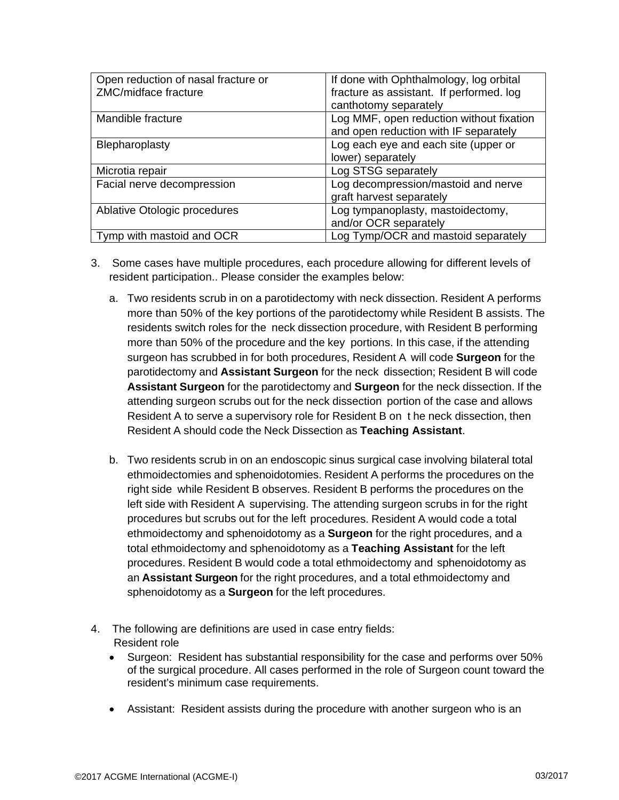| Open reduction of nasal fracture or | If done with Ophthalmology, log orbital  |
|-------------------------------------|------------------------------------------|
| ZMC/midface fracture                | fracture as assistant. If performed. log |
|                                     | canthotomy separately                    |
| Mandible fracture                   | Log MMF, open reduction without fixation |
|                                     | and open reduction with IF separately    |
| Blepharoplasty                      | Log each eye and each site (upper or     |
|                                     | lower) separately                        |
| Microtia repair                     | Log STSG separately                      |
| Facial nerve decompression          | Log decompression/mastoid and nerve      |
|                                     | graft harvest separately                 |
| Ablative Otologic procedures        | Log tympanoplasty, mastoidectomy,        |
|                                     | and/or OCR separately                    |
| Tymp with mastoid and OCR           | Log Tymp/OCR and mastoid separately      |

- 3. Some cases have multiple procedures, each procedure allowing for different levels of resident participation.. Please consider the examples below:
	- a. Two residents scrub in on a parotidectomy with neck dissection. Resident A performs more than 50% of the key portions of the parotidectomy while Resident B assists. The residents switch roles for the neck dissection procedure, with Resident B performing more than 50% of the procedure and the key portions. In this case, if the attending surgeon has scrubbed in for both procedures, Resident A will code **Surgeon** for the parotidectomy and **Assistant Surgeon** for the neck dissection; Resident B will code **Assistant Surgeon** for the parotidectomy and **Surgeon** for the neck dissection. If the attending surgeon scrubs out for the neck dissection portion of the case and allows Resident A to serve a supervisory role for Resident B on t he neck dissection, then Resident A should code the Neck Dissection as **Teaching Assistant**.
	- b. Two residents scrub in on an endoscopic sinus surgical case involving bilateral total ethmoidectomies and sphenoidotomies. Resident A performs the procedures on the right side while Resident B observes. Resident B performs the procedures on the left side with Resident A supervising. The attending surgeon scrubs in for the right procedures but scrubs out for the left procedures. Resident A would code a total ethmoidectomy and sphenoidotomy as a **Surgeon** for the right procedures, and a total ethmoidectomy and sphenoidotomy as a **Teaching Assistant** for the left procedures. Resident B would code a total ethmoidectomy and sphenoidotomy as an **Assistant Surgeon** for the right procedures, and a total ethmoidectomy and sphenoidotomy as a **Surgeon** for the left procedures.
- 4. The following are definitions are used in case entry fields: Resident role
	- Surgeon: Resident has substantial responsibility for the case and performs over 50% of the surgical procedure. All cases performed in the role of Surgeon count toward the resident's minimum case requirements.
	- Assistant: Resident assists during the procedure with another surgeon who is an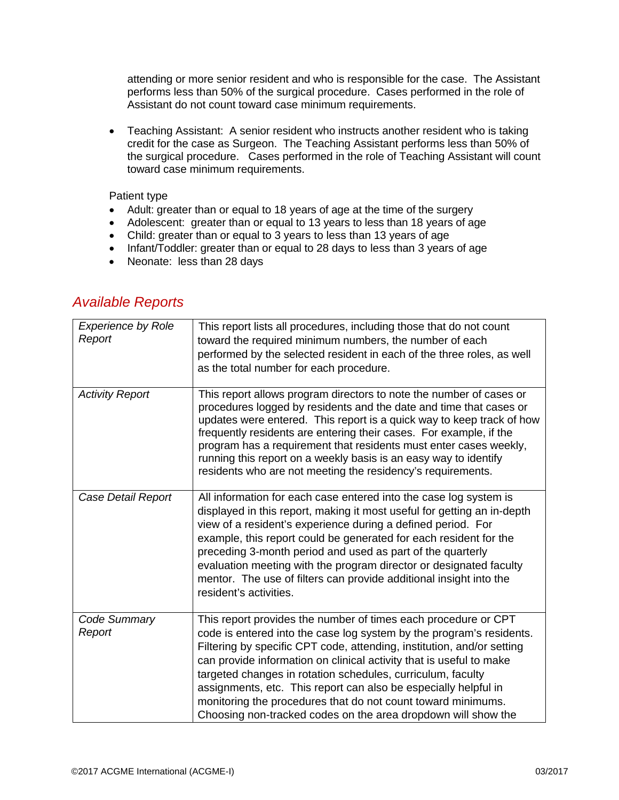attending or more senior resident and who is responsible for the case. The Assistant performs less than 50% of the surgical procedure. Cases performed in the role of Assistant do not count toward case minimum requirements.

• Teaching Assistant: A senior resident who instructs another resident who is taking credit for the case as Surgeon. The Teaching Assistant performs less than 50% of the surgical procedure. Cases performed in the role of Teaching Assistant will count toward case minimum requirements.

## Patient type

- Adult: greater than or equal to 18 years of age at the time of the surgery
- Adolescent: greater than or equal to 13 years to less than 18 years of age
- Child: greater than or equal to 3 years to less than 13 years of age
- Infant/Toddler: greater than or equal to 28 days to less than 3 years of age
- Neonate: less than 28 days

| <b>Experience by Role</b><br>Report | This report lists all procedures, including those that do not count<br>toward the required minimum numbers, the number of each<br>performed by the selected resident in each of the three roles, as well<br>as the total number for each procedure.                                                                                                                                                                                                                                                                                                        |
|-------------------------------------|------------------------------------------------------------------------------------------------------------------------------------------------------------------------------------------------------------------------------------------------------------------------------------------------------------------------------------------------------------------------------------------------------------------------------------------------------------------------------------------------------------------------------------------------------------|
| <b>Activity Report</b>              | This report allows program directors to note the number of cases or<br>procedures logged by residents and the date and time that cases or<br>updates were entered. This report is a quick way to keep track of how<br>frequently residents are entering their cases. For example, if the<br>program has a requirement that residents must enter cases weekly,<br>running this report on a weekly basis is an easy way to identify<br>residents who are not meeting the residency's requirements.                                                           |
| Case Detail Report                  | All information for each case entered into the case log system is<br>displayed in this report, making it most useful for getting an in-depth<br>view of a resident's experience during a defined period. For<br>example, this report could be generated for each resident for the<br>preceding 3-month period and used as part of the quarterly<br>evaluation meeting with the program director or designated faculty<br>mentor. The use of filters can provide additional insight into the<br>resident's activities.                                      |
| Code Summary<br>Report              | This report provides the number of times each procedure or CPT<br>code is entered into the case log system by the program's residents.<br>Filtering by specific CPT code, attending, institution, and/or setting<br>can provide information on clinical activity that is useful to make<br>targeted changes in rotation schedules, curriculum, faculty<br>assignments, etc. This report can also be especially helpful in<br>monitoring the procedures that do not count toward minimums.<br>Choosing non-tracked codes on the area dropdown will show the |

## *Available Reports*